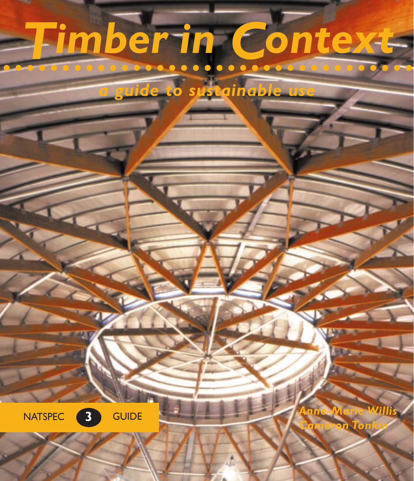# *Timber in Context*

*a guide to sustainable use*



*Cameron Tonkin*

*Anne-Marie Willis*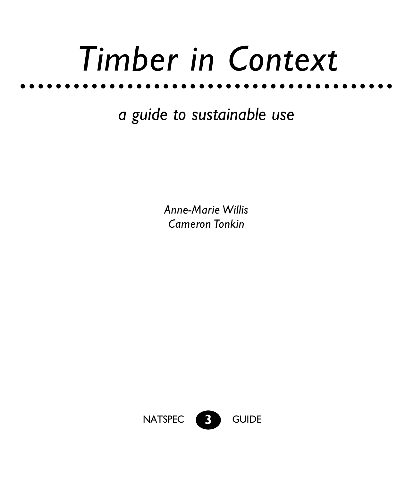# *Timber in Context*

*a guide to sustainable use*

**Anne-Marie Willis** *Cameron Tonkin* 

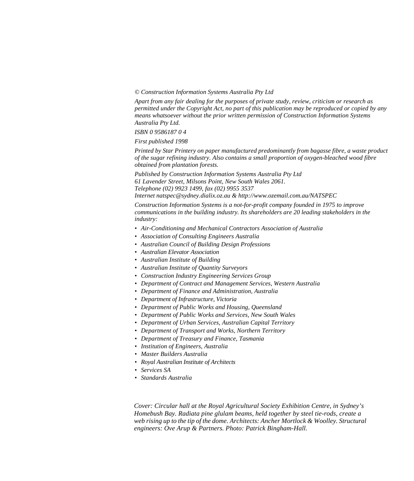#### *© Construction Information Systems Australia Pty Ltd*

*Apart from any fair dealing for the purposes of private study, review, criticism or research as permitted under the Copyright Act, no part of this publication may be reproduced or copied by any means whatsoever without the prior written permission of Construction Information Systems Australia Pty Ltd.*

*ISBN 0 9586187 0 4*

*First published 1998*

*Printed by Star Printery on paper manufactured predominantly from bagasse fibre, a waste product of the sugar refining industry. Also contains a small proportion of oxygen-bleached wood fibre obtained from plantation forests.*

*Published by Construction Information Systems Australia Pty Ltd 61 Lavender Street, Milsons Point, New South Wales 2061. Telephone (02) 9923 1499, fax (02) 9955 3537 Internet natspec@sydney.dialix.oz.au & http://www.ozemail.com.au/NATSPEC*

*Construction Information Systems is a not-for-profit company founded in 1975 to improve communications in the building industry. Its shareholders are 20 leading stakeholders in the industry:*

- *• Air-Conditioning and Mechanical Contractors Association of Australia*
- *• Association of Consulting Engineers Australia*
- *• Australian Council of Building Design Professions*
- *• Australian Elevator Association*
- *• Australian Institute of Building*
- *• Australian Institute of Quantity Surveyors*
- *• Construction Industry Engineering Services Group*
- *• Department of Contract and Management Services, Western Australia*
- *• Department of Finance and Administration, Australia*
- *• Department of Infrastructure, Victoria*
- *• Department of Public Works and Housing, Queensland*
- *• Department of Public Works and Services, New South Wales*
- *• Department of Urban Services, Australian Capital Territory*
- *• Department of Transport and Works, Northern Territory*
- *• Department of Treasury and Finance, Tasmania*
- *• Institution of Engineers, Australia*
- *• Master Builders Australia*
- *• Royal Australian Institute of Architects*
- *• Services SA*
- *• Standards Australia*

*Cover: Circular hall at the Royal Agricultural Society Exhibition Centre, in Sydney's Homebush Bay. Radiata pine glulam beams, held together by steel tie-rods, create a web rising up to the tip of the dome. Architects: Ancher Mortlock & Woolley. Structural engineers: Ove Arup & Partners. Photo: Patrick Bingham-Hall.*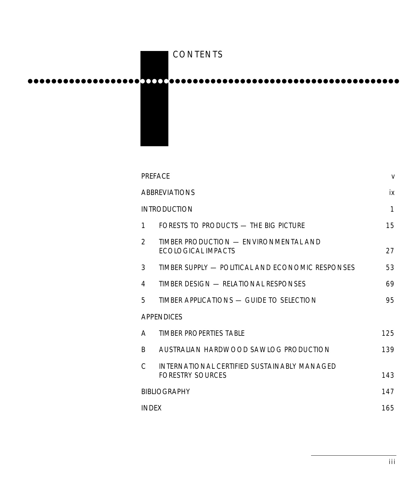# ●●●●●●●●●●●●●●●●●●●●●●● ●●●●●●●●●●●●●●●●●●●●●●●●●●●●●●●●●●●●●●●● CONTENTS

|                      | <b>PREFACE</b> |                                                                        |     |
|----------------------|----------------|------------------------------------------------------------------------|-----|
| <b>ABBREVIATIONS</b> |                |                                                                        | iх  |
|                      |                | <b>INTRODUCTION</b>                                                    | 1   |
|                      | 1              | FORESTS TO PRODUCTS - THE BIG PICTURE                                  | 15  |
|                      | $\mathfrak{p}$ | TIMBER PRODUCTION - ENVIRONMENTAL AND<br><b>FCOLOGICAL IMPACTS</b>     | 27  |
|                      | 3              | TIMBER SUPPLY — POLITICAL AND ECONOMIC RESPONSES                       | 53  |
|                      | 4              | TIMBER DESIGN — RELATIONAL RESPONSES                                   | 69  |
|                      | 5              | TIMBER APPLICATIONS - GUIDE TO SELECTION                               | 95  |
| <b>APPENDICES</b>    |                |                                                                        |     |
|                      | A              | TIMBER PROPERTIES TABLE                                                | 125 |
|                      | R.             | AUSTRALIAN HARDWOOD SAWLOG PRODUCTION                                  | 139 |
|                      | C              | INTERNATIONAL CERTIFIED SUSTAINABLY MANAGED<br><b>FORESTRY SOURCES</b> | 143 |
| <b>BIBLIOGRAPHY</b>  |                |                                                                        | 147 |
| <b>INDEX</b>         |                |                                                                        | 165 |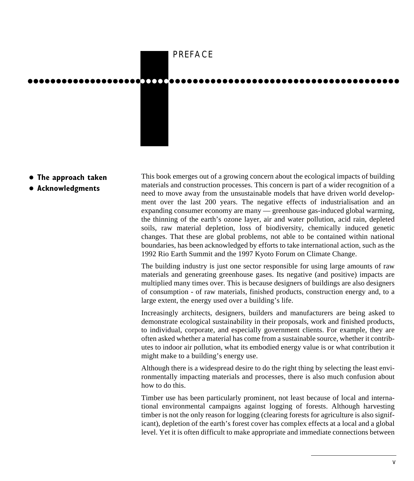

- **The approach taken**
- $\bullet$  **Acknowledgments**

This book emerges out of a growing concern about the ecological impacts of building materials and construction processes. This concern is part of a wider recognition of a need to move away from the unsustainable models that have driven world development over the last 200 years. The negative effects of industrialisation and an expanding consumer economy are many — greenhouse gas-induced global warming, the thinning of the earth's ozone layer, air and water pollution, acid rain, depleted soils, raw material depletion, loss of biodiversity, chemically induced genetic changes. That these are global problems, not able to be contained within national boundaries, has been acknowledged by efforts to take international action, such as the 1992 Rio Earth Summit and the 1997 Kyoto Forum on Climate Change.

The building industry is just one sector responsible for using large amounts of raw materials and generating greenhouse gases. Its negative (and positive) impacts are multiplied many times over. This is because designers of buildings are also designers of consumption - of raw materials, finished products, construction energy and, to a large extent, the energy used over a building's life.

Increasingly architects, designers, builders and manufacturers are being asked to demonstrate ecological sustainability in their proposals, work and finished products, to individual, corporate, and especially government clients. For example, they are often asked whether a material has come from a sustainable source, whether it contributes to indoor air pollution, what its embodied energy value is or what contribution it might make to a building's energy use.

Although there is a widespread desire to do the right thing by selecting the least environmentally impacting materials and processes, there is also much confusion about how to do this.

Timber use has been particularly prominent, not least because of local and international environmental campaigns against logging of forests. Although harvesting timber is not the only reason for logging (clearing forests for agriculture is also significant), depletion of the earth's forest cover has complex effects at a local and a global level. Yet it is often difficult to make appropriate and immediate connections between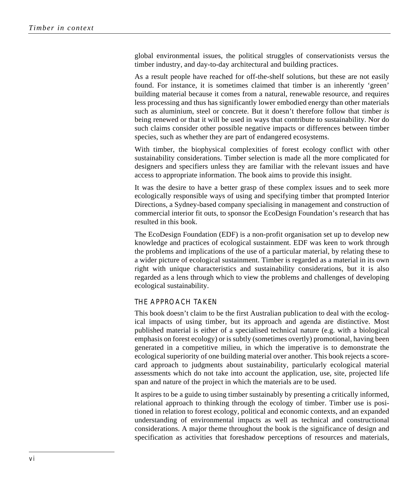global environmental issues, the political struggles of conservationists versus the timber industry, and day-to-day architectural and building practices.

As a result people have reached for off-the-shelf solutions, but these are not easily found. For instance, it is sometimes claimed that timber is an inherently 'green' building material because it comes from a natural, renewable resource, and requires less processing and thus has significantly lower embodied energy than other materials such as aluminium, steel or concrete. But it doesn't therefore follow that timber *is* being renewed or that it will be used in ways that contribute to sustainability. Nor do such claims consider other possible negative impacts or differences between timber species, such as whether they are part of endangered ecosystems.

With timber, the biophysical complexities of forest ecology conflict with other sustainability considerations. Timber selection is made all the more complicated for designers and specifiers unless they are familiar with the relevant issues and have access to appropriate information. The book aims to provide this insight.

It was the desire to have a better grasp of these complex issues and to seek more ecologically responsible ways of using and specifying timber that prompted Interior Directions, a Sydney-based company specialising in management and construction of commercial interior fit outs, to sponsor the EcoDesign Foundation's research that has resulted in this book.

The EcoDesign Foundation (EDF) is a non-profit organisation set up to develop new knowledge and practices of ecological sustainment. EDF was keen to work through the problems and implications of the use of a particular material, by relating these to a wider picture of ecological sustainment. Timber is regarded as a material in its own right with unique characteristics and sustainability considerations, but it is also regarded as a lens through which to view the problems and challenges of developing ecological sustainability.

### THE APPROACH TAKEN

This book doesn't claim to be the first Australian publication to deal with the ecological impacts of using timber, but its approach and agenda are distinctive. Most published material is either of a specialised technical nature (e.g. with a biological emphasis on forest ecology) or is subtly (sometimes overtly) promotional, having been generated in a competitive milieu, in which the imperative is to demonstrate the ecological superiority of one building material over another. This book rejects a scorecard approach to judgments about sustainability, particularly ecological material assessments which do not take into account the application, use, site, projected life span and nature of the project in which the materials are to be used.

It aspires to be a guide to using timber sustainably by presenting a critically informed, relational approach to thinking through the ecology of timber. Timber use is positioned in relation to forest ecology, political and economic contexts, and an expanded understanding of environmental impacts as well as technical and constructional considerations. A major theme throughout the book is the significance of design and specification as activities that foreshadow perceptions of resources and materials,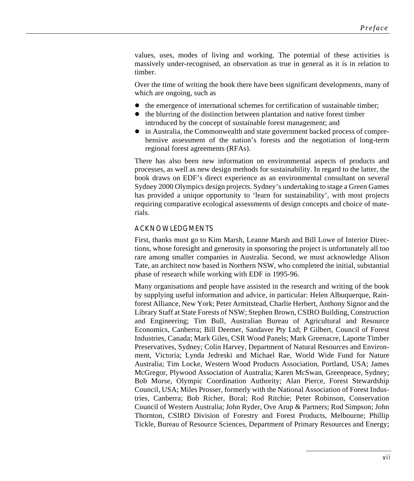values, uses, modes of living and working. The potential of these activities is massively under-recognised, an observation as true in general as it is in relation to timber.

Over the time of writing the book there have been significant developments, many of which are ongoing, such as

- $\bullet$  the emergence of international schemes for certification of sustainable timber;
- $\bullet$  the blurring of the distinction between plantation and native forest timber introduced by the concept of sustainable forest management; and
- $\bullet$  in Australia, the Commonwealth and state government backed process of comprehensive assessment of the nation's forests and the negotiation of long-term regional forest agreements (RFAs).

There has also been new information on environmental aspects of products and processes, as well as new design methods for sustainability. In regard to the latter, the book draws on EDF's direct experience as an environmental consultant on several Sydney 2000 Olympics design projects. Sydney's undertaking to stage a Green Games has provided a unique opportunity to 'learn for sustainability', with most projects requiring comparative ecological assessments of design concepts and choice of materials.

#### ACKNOWLEDGMENTS

First, thanks must go to Kim Marsh, Leanne Marsh and Bill Lowe of Interior Directions, whose foresight and generosity in sponsoring the project is unfortunately all too rare among smaller companies in Australia. Second, we must acknowledge Alison Tate, an architect now based in Northern NSW, who completed the initial, substantial phase of research while working with EDF in 1995-96.

Many organisations and people have assisted in the research and writing of the book by supplying useful information and advice, in particular: Helen Albuquerque, Rainforest Alliance, New York; Peter Armitstead, Charlie Herbert, Anthony Signor and the Library Staff at State Forests of NSW; Stephen Brown, CSIRO Building, Construction and Engineering; Tim Bull, Australian Bureau of Agricultural and Resource Economics, Canberra; Bill Deemer, Sandaver Pty Ltd; P Gilbert, Council of Forest Industries, Canada; Mark Giles, CSR Wood Panels; Mark Greenacre, Laporte Timber Preservatives, Sydney; Colin Harvey, Department of Natural Resources and Environment, Victoria; Lynda Jedreski and Michael Rae, World Wide Fund for Nature Australia; Tim Locke, Western Wood Products Association, Portland, USA; James McGregor, Plywood Association of Australia; Karen McSwan, Greenpeace, Sydney; Bob Morse, Olympic Coordination Authority; Alan Pierce, Forest Stewardship Council, USA; Miles Prosser, formerly with the National Association of Forest Industries, Canberra; Bob Richer, Boral; Rod Ritchie; Peter Robinson, Conservation Council of Western Australia; John Ryder, Ove Arup & Partners; Rod Simpson; John Thornton, CSIRO Division of Forestry and Forest Products, Melbourne; Phillip Tickle, Bureau of Resource Sciences, Department of Primary Resources and Energy;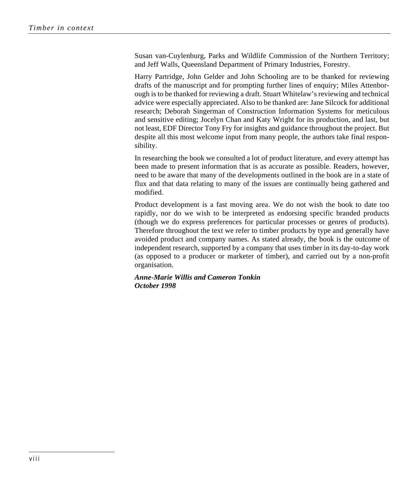Susan van-Cuylenburg, Parks and Wildlife Commission of the Northern Territory; and Jeff Walls, Queensland Department of Primary Industries, Forestry.

Harry Partridge, John Gelder and John Schooling are to be thanked for reviewing drafts of the manuscript and for prompting further lines of enquiry; Miles Attenborough is to be thanked for reviewing a draft. Stuart Whitelaw's reviewing and technical advice were especially appreciated. Also to be thanked are: Jane Silcock for additional research; Deborah Singerman of Construction Information Systems for meticulous and sensitive editing; Jocelyn Chan and Katy Wright for its production, and last, but not least, EDF Director Tony Fry for insights and guidance throughout the project. But despite all this most welcome input from many people, the authors take final responsibility.

In researching the book we consulted a lot of product literature, and every attempt has been made to present information that is as accurate as possible. Readers, however, need to be aware that many of the developments outlined in the book are in a state of flux and that data relating to many of the issues are continually being gathered and modified.

Product development is a fast moving area. We do not wish the book to date too rapidly, nor do we wish to be interpreted as endorsing specific branded products (though we do express preferences for particular processes or genres of products). Therefore throughout the text we refer to timber products by type and generally have avoided product and company names. As stated already, the book is the outcome of independent research, supported by a company that uses timber in its day-to-day work (as opposed to a producer or marketer of timber), and carried out by a non-profit organisation.

*Anne-Marie Willis and Cameron Tonkin October 1998*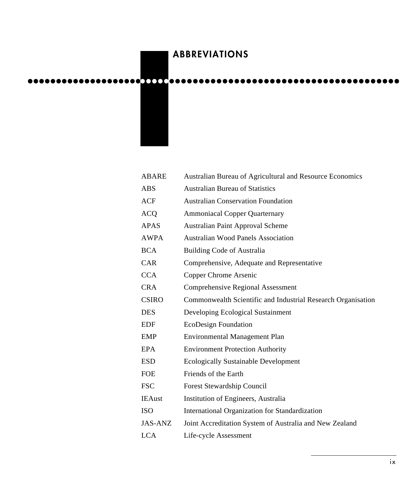# ABBREVIATIONS

●●●●●●●●●●●●●●●●●●●●●● ●●●● ●●●●●●●●●●●●●●●●●●●●●●●●●●●●●●●●●●●●●●● ●

| ABARE        | Australian Bureau of Agricultural and Resource Economics     |
|--------------|--------------------------------------------------------------|
| ABS          | <b>Australian Bureau of Statistics</b>                       |
| ACF          | <b>Australian Conservation Foundation</b>                    |
| ACQ          | <b>Ammoniacal Copper Quarternary</b>                         |
| APAS         | Australian Paint Approval Scheme                             |
| <b>AWPA</b>  | <b>Australian Wood Panels Association</b>                    |
| BCA          | Building Code of Australia                                   |
| CAR          | Comprehensive, Adequate and Representative                   |
| <b>CCA</b>   | Copper Chrome Arsenic                                        |
| <b>CRA</b>   | <b>Comprehensive Regional Assessment</b>                     |
| <b>CSIRO</b> | Commonwealth Scientific and Industrial Research Organisation |
| DES          | Developing Ecological Sustainment                            |
| EDF          | EcoDesign Foundation                                         |
| EMP          | <b>Environmental Management Plan</b>                         |
| EPA          | <b>Environment Protection Authority</b>                      |
| ESD          | <b>Ecologically Sustainable Development</b>                  |
| FOE          | Friends of the Earth                                         |
| <b>FSC</b>   | Forest Stewardship Council                                   |
| IEAust       | Institution of Engineers, Australia                          |
| ISO          | International Organization for Standardization               |
| JAS-ANZ      | Joint Accreditation System of Australia and New Zealand      |
| LCA          | Life-cycle Assessment                                        |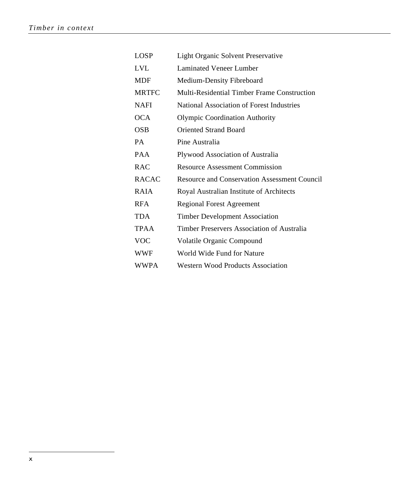| <b>LOSP</b>  | Light Organic Solvent Preservative                  |
|--------------|-----------------------------------------------------|
| <b>LVL</b>   | Laminated Veneer Lumber                             |
| <b>MDF</b>   | Medium-Density Fibreboard                           |
| <b>MRTFC</b> | Multi-Residential Timber Frame Construction         |
| <b>NAFI</b>  | National Association of Forest Industries           |
| <b>OCA</b>   | <b>Olympic Coordination Authority</b>               |
| OSB          | <b>Oriented Strand Board</b>                        |
| PA           | Pine Australia                                      |
| <b>PAA</b>   | Plywood Association of Australia                    |
| <b>RAC</b>   | <b>Resource Assessment Commission</b>               |
| <b>RACAC</b> | <b>Resource and Conservation Assessment Council</b> |
| <b>RAIA</b>  | Royal Australian Institute of Architects            |
| <b>RFA</b>   | <b>Regional Forest Agreement</b>                    |
| <b>TDA</b>   | <b>Timber Development Association</b>               |
| <b>TPAA</b>  | Timber Preservers Association of Australia          |
| <b>VOC</b>   | Volatile Organic Compound                           |
| <b>WWF</b>   | World Wide Fund for Nature                          |
| WWPA         | <b>Western Wood Products Association</b>            |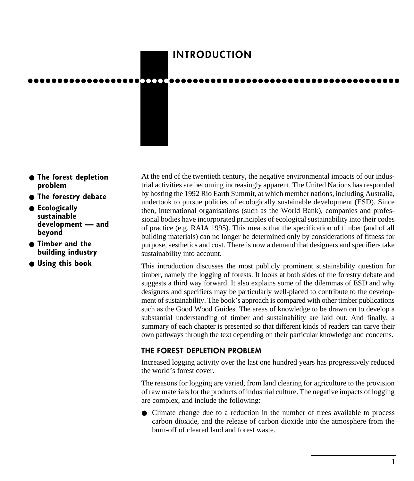# INTRODUCTION

●●●●●●●●●●●●●●●●●●●●●●●●●●●●●●●●●●●●●●●●●●●●●●●●●●●●●●●●●●●●●●●

- **The forest depletion problem**
- **The forestry debate**
- **Ecologically sustainable development — and beyond**
- **Timber and the building industry**
- **Using this book**

At the end of the twentieth century, the negative environmental impacts of our industrial activities are becoming increasingly apparent. The United Nations has responded by hosting the 1992 Rio Earth Summit, at which member nations, including Australia, undertook to pursue policies of ecologically sustainable development (ESD). Since then, international organisations (such as the World Bank), companies and professional bodies have incorporated principles of ecological sustainability into their codes of practice (e.g. RAIA 1995). This means that the specification of timber (and of all building materials) can no longer be determined only by considerations of fitness for purpose, aesthetics and cost. There is now a demand that designers and specifiers take sustainability into account.

This introduction discusses the most publicly prominent sustainability question for timber, namely the logging of forests. It looks at both sides of the forestry debate and suggests a third way forward. It also explains some of the dilemmas of ESD and why designers and specifiers may be particularly well-placed to contribute to the development of sustainability. The book's approach is compared with other timber publications such as the Good Wood Guides. The areas of knowledge to be drawn on to develop a substantial understanding of timber and sustainability are laid out. And finally, a summary of each chapter is presented so that different kinds of readers can carve their own pathways through the text depending on their particular knowledge and concerns.

# THE FOREST DEPLETION PROBLEM

Increased logging activity over the last one hundred years has progressively reduced the world's forest cover.

The reasons for logging are varied, from land clearing for agriculture to the provision of raw materials for the products of industrial culture. The negative impacts of logging are complex, and include the following:

● Climate change due to a reduction in the number of trees available to process carbon dioxide, and the release of carbon dioxide into the atmosphere from the burn-off of cleared land and forest waste.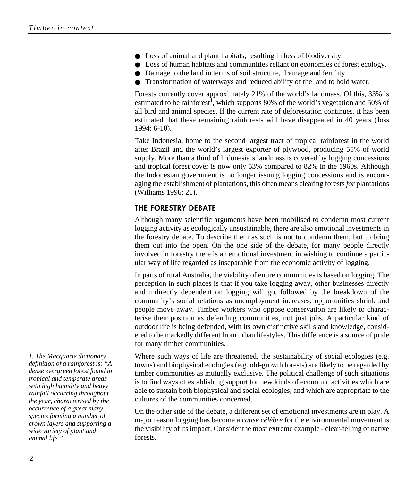- Loss of animal and plant habitats, resulting in loss of biodiversity.
- Loss of human habitats and communities reliant on economies of forest ecology.
- Damage to the land in terms of soil structure, drainage and fertility.
- Transformation of waterways and reduced ability of the land to hold water.

Forests currently cover approximately 21% of the world's landmass. Of this, 33% is estimated to be rainforest<sup>1</sup>, which supports 80% of the world's vegetation and 50% of all bird and animal species. If the current rate of deforestation continues, it has been estimated that these remaining rainforests will have disappeared in 40 years (Joss 1994: 6-10).

Take Indonesia, home to the second largest tract of tropical rainforest in the world after Brazil and the world's largest exporter of plywood, producing 55% of world supply. More than a third of Indonesia's landmass is covered by logging concessions and tropical forest cover is now only 53% compared to 82% in the 1960s. Although the Indonesian government is no longer issuing logging concessions and is encouraging the establishment of plantations, this often means clearing forests *for* plantations (Williams 1996: 21).

### THE FORESTRY DEBATE

Although many scientific arguments have been mobilised to condemn most current logging activity as ecologically unsustainable, there are also emotional investments in the forestry debate. To describe them as such is not to condemn them, but to bring them out into the open. On the one side of the debate, for many people directly involved in forestry there is an emotional investment in wishing to continue a particular way of life regarded as inseparable from the economic activity of logging.

In parts of rural Australia, the viability of entire communities is based on logging. The perception in such places is that if you take logging away, other businesses directly and indirectly dependent on logging will go, followed by the breakdown of the community's social relations as unemployment increases, opportunities shrink and people move away. Timber workers who oppose conservation are likely to characterise their position as defending communities, not just jobs. A particular kind of outdoor life is being defended, with its own distinctive skills and knowledge, considered to be markedly different from urban lifestyles. This difference is a source of pride for many timber communities.

Where such ways of life are threatened, the sustainability of social ecologies (e.g. towns) and biophysical ecologies (e.g. old-growth forests) are likely to be regarded by timber communities as mutually exclusive. The political challenge of such situations is to find ways of establishing support for new kinds of economic activities which are able to sustain both biophysical and social ecologies, and which are appropriate to the cultures of the communities concerned.

On the other side of the debate, a different set of emotional investments are in play. A major reason logging has become a *cause célèbre* for the environmental movement is the visibility of its impact. Consider the most extreme example - clear-felling of native forests.

*1. The Macquarie dictionary definition of a rainforest is: "A dense evergreen forest found in tropical and temperate areas with high humidity and heavy rainfall occurring throughout the year, characterised by the occurrence of a great many species forming a number of crown layers and supporting a wide variety of plant and animal life."*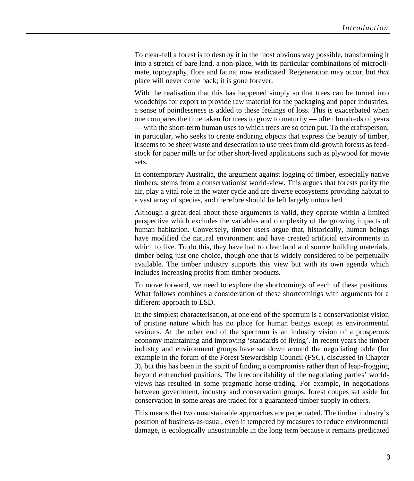To clear-fell a forest is to destroy it in the most obvious way possible, transforming it into a stretch of bare land, a non-place, with its particular combinations of microclimate, topography, flora and fauna, now eradicated. Regeneration may occur, but *that* place will never come back; it is gone forever.

With the realisation that this has happened simply so that trees can be turned into woodchips for export to provide raw material for the packaging and paper industries, a sense of pointlessness is added to these feelings of loss. This is exacerbated when one compares the time taken for trees to grow to maturity — often hundreds of years — with the short-term human uses to which trees are so often put. To the craftsperson, in particular, who seeks to create enduring objects that express the beauty of timber, it seems to be sheer waste and desecration to use trees from old-growth forests as feedstock for paper mills or for other short-lived applications such as plywood for movie sets.

In contemporary Australia, the argument against logging of timber, especially native timbers, stems from a conservationist world-view. This argues that forests purify the air, play a vital role in the water cycle and are diverse ecosystems providing habitat to a vast array of species, and therefore should be left largely untouched.

Although a great deal about these arguments is valid, they operate within a limited perspective which excludes the variables and complexity of the growing impacts of human habitation. Conversely, timber users argue that, historically, human beings have modified the natural environment and have created artificial environments in which to live. To do this, they have had to clear land and source building materials, timber being just one choice, though one that is widely considered to be perpetually available. The timber industry supports this view but with its own agenda which includes increasing profits from timber products.

To move forward, we need to explore the shortcomings of each of these positions. What follows combines a consideration of these shortcomings with arguments for a different approach to ESD.

In the simplest characterisation, at one end of the spectrum is a conservationist vision of pristine nature which has no place for human beings except as environmental saviours. At the other end of the spectrum is an industry vision of a prosperous economy maintaining and improving 'standards of living'. In recent years the timber industry and environment groups have sat down around the negotiating table (for example in the forum of the Forest Stewardship Council (FSC), discussed in Chapter 3), but this has been in the spirit of finding a compromise rather than of leap-frogging beyond entrenched positions. The irreconcilability of the negotiating parties' worldviews has resulted in some pragmatic horse-trading. For example, in negotiations between government, industry and conservation groups, forest coupes set aside for conservation in some areas are traded for a guaranteed timber supply in others.

This means that two unsustainable approaches are perpetuated. The timber industry's position of business-as-usual, even if tempered by measures to reduce environmental damage, is ecologically unsustainable in the long term because it remains predicated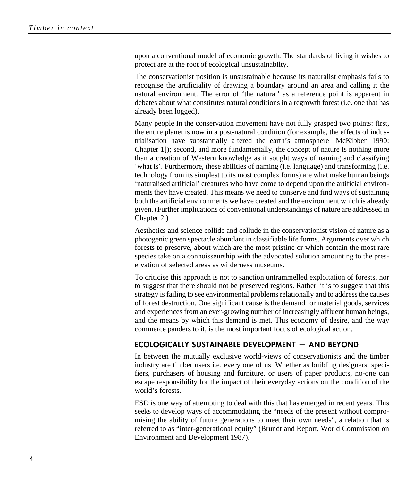upon a conventional model of economic growth. The standards of living it wishes to protect are at the root of ecological unsustainabilty.

The conservationist position is unsustainable because its naturalist emphasis fails to recognise the artificiality of drawing a boundary around an area and calling it the natural environment. The error of 'the natural' as a reference point is apparent in debates about what constitutes natural conditions in a regrowth forest (i.e. one that has already been logged).

Many people in the conservation movement have not fully grasped two points: first, the entire planet is now in a post-natural condition (for example, the effects of industrialisation have substantially altered the earth's atmosphere [McKibben 1990: Chapter 1]); second, and more fundamentally, the concept of nature is nothing more than a creation of Western knowledge as it sought ways of naming and classifying 'what is'. Furthermore, these abilities of naming (i.e. language) and transforming (i.e. technology from its simplest to its most complex forms) are what make human beings 'naturalised artificial' creatures who have come to depend upon the artificial environments they have created. This means we need to conserve and find ways of sustaining both the artificial environments we have created and the environment which is already given. (Further implications of conventional understandings of nature are addressed in Chapter 2.)

Aesthetics and science collide and collude in the conservationist vision of nature as a photogenic green spectacle abundant in classifiable life forms. Arguments over which forests to preserve, about which are the most pristine or which contain the most rare species take on a connoisseurship with the advocated solution amounting to the preservation of selected areas as wilderness museums.

To criticise this approach is not to sanction untrammelled exploitation of forests, nor to suggest that there should not be preserved regions. Rather, it is to suggest that this strategy is failing to see environmental problems relationally and to address the causes of forest destruction. One significant cause is the demand for material goods, services and experiences from an ever-growing number of increasingly affluent human beings, and the means by which this demand is met. This economy of desire, and the way commerce panders to it, is the most important focus of ecological action.

# ECOLOGICALLY SUSTAINABLE DEVELOPMENT — AND BEYOND

In between the mutually exclusive world-views of conservationists and the timber industry are timber users i.e. every one of us. Whether as building designers, specifiers, purchasers of housing and furniture, or users of paper products, no-one can escape responsibility for the impact of their everyday actions on the condition of the world's forests.

ESD is one way of attempting to deal with this that has emerged in recent years. This seeks to develop ways of accommodating the "needs of the present without compromising the ability of future generations to meet their own needs", a relation that is referred to as "inter-generational equity" (Brundtland Report, World Commission on Environment and Development 1987).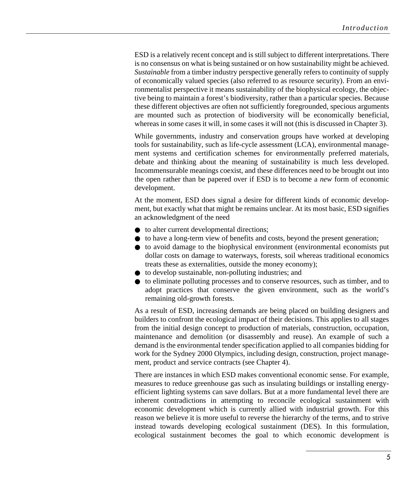ESD is a relatively recent concept and is still subject to different interpretations. There is no consensus on what is being sustained or on how sustainability might be achieved. *Sustainable* from a timber industry perspective generally refers to continuity of supply of economically valued species (also referred to as resource security). From an environmentalist perspective it means sustainability of the biophysical ecology, the objective being to maintain a forest's biodiversity, rather than a particular species. Because these different objectives are often not sufficiently foregrounded, specious arguments are mounted such as protection of biodiversity will be economically beneficial, whereas in some cases it will, in some cases it will not (this is discussed in Chapter 3).

While governments, industry and conservation groups have worked at developing tools for sustainability, such as life-cycle assessment (LCA), environmental management systems and certification schemes for environmentally preferred materials, debate and thinking about the meaning of sustainability is much less developed. Incommensurable meanings coexist, and these differences need to be brought out into the open rather than be papered over if ESD is to become a *new* form of economic development.

At the moment, ESD does signal a desire for different kinds of economic development, but exactly what that might be remains unclear. At its most basic, ESD signifies an acknowledgment of the need

- to alter current developmental directions;
- to have a long-term view of benefits and costs, beyond the present generation;
- to avoid damage to the biophysical environment (environmental economists put dollar costs on damage to waterways, forests, soil whereas traditional economics treats these as externalities, outside the money economy);
- to develop sustainable, non-polluting industries; and
- to eliminate polluting processes and to conserve resources, such as timber, and to adopt practices that conserve the given environment, such as the world's remaining old-growth forests.

As a result of ESD, increasing demands are being placed on building designers and builders to confront the ecological impact of their decisions. This applies to all stages from the initial design concept to production of materials, construction, occupation, maintenance and demolition (or disassembly and reuse). An example of such a demand is the environmental tender specification applied to all companies bidding for work for the Sydney 2000 Olympics, including design, construction, project management, product and service contracts (see Chapter 4).

There are instances in which ESD makes conventional economic sense. For example, measures to reduce greenhouse gas such as insulating buildings or installing energyefficient lighting systems can save dollars. But at a more fundamental level there are inherent contradictions in attempting to reconcile ecological sustainment with economic development which is currently allied with industrial growth. For this reason we believe it is more useful to reverse the hierarchy of the terms, and to strive instead towards developing ecological sustainment (DES). In this formulation, ecological sustainment becomes the goal to which economic development is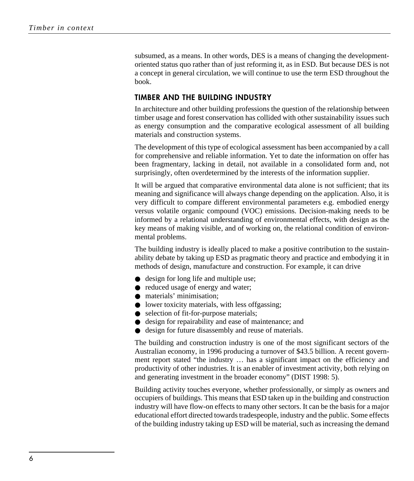subsumed, as a means. In other words, DES is a means of changing the developmentoriented status quo rather than of just reforming it, as in ESD. But because DES is not a concept in general circulation, we will continue to use the term ESD throughout the book.

# TIMBER AND THE BUILDING INDUSTRY

In architecture and other building professions the question of the relationship between timber usage and forest conservation has collided with other sustainability issues such as energy consumption and the comparative ecological assessment of all building materials and construction systems.

The development of this type of ecological assessment has been accompanied by a call for comprehensive and reliable information. Yet to date the information on offer has been fragmentary, lacking in detail, not available in a consolidated form and, not surprisingly, often overdetermined by the interests of the information supplier.

It will be argued that comparative environmental data alone is not sufficient; that its meaning and significance will always change depending on the application. Also, it is very difficult to compare different environmental parameters e.g. embodied energy versus volatile organic compound (VOC) emissions. Decision-making needs to be informed by a relational understanding of environmental effects, with design as the key means of making visible, and of working on, the relational condition of environmental problems.

The building industry is ideally placed to make a positive contribution to the sustainability debate by taking up ESD as pragmatic theory and practice and embodying it in methods of design, manufacture and construction. For example, it can drive

- design for long life and multiple use;
- reduced usage of energy and water;
- materials' minimisation:
- lower toxicity materials, with less offgassing;
- selection of fit-for-purpose materials;
- design for repairability and ease of maintenance; and
- design for future disassembly and reuse of materials.

The building and construction industry is one of the most significant sectors of the Australian economy, in 1996 producing a turnover of \$43.5 billion. A recent government report stated "the industry … has a significant impact on the efficiency and productivity of other industries. It is an enabler of investment activity, both relying on and generating investment in the broader economy" (DIST 1998: 5).

Building activity touches everyone, whether professionally, or simply as owners and occupiers of buildings. This means that ESD taken up in the building and construction industry will have flow-on effects to many other sectors. It can be the basis for a major educational effort directed towards tradespeople, industry and the public. Some effects of the building industry taking up ESD will be material, such as increasing the demand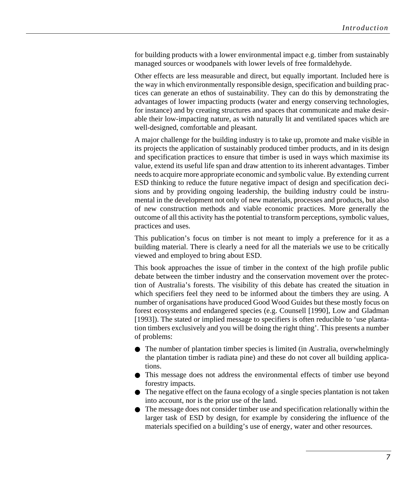for building products with a lower environmental impact e.g. timber from sustainably managed sources or woodpanels with lower levels of free formaldehyde.

Other effects are less measurable and direct, but equally important. Included here is the way in which environmentally responsible design, specification and building practices can generate an ethos of sustainability. They can do this by demonstrating the advantages of lower impacting products (water and energy conserving technologies, for instance) and by creating structures and spaces that communicate and make desirable their low-impacting nature, as with naturally lit and ventilated spaces which are well-designed, comfortable and pleasant.

A major challenge for the building industry is to take up, promote and make visible in its projects the application of sustainably produced timber products, and in its design and specification practices to ensure that timber is used in ways which maximise its value, extend its useful life span and draw attention to its inherent advantages. Timber needs to acquire more appropriate economic and symbolic value. By extending current ESD thinking to reduce the future negative impact of design and specification decisions and by providing ongoing leadership, the building industry could be instrumental in the development not only of new materials, processes and products, but also of new construction methods and viable economic practices. More generally the outcome of all this activity has the potential to transform perceptions, symbolic values, practices and uses.

This publication's focus on timber is not meant to imply a preference for it as a building material. There is clearly a need for all the materials we use to be critically viewed and employed to bring about ESD.

This book approaches the issue of timber in the context of the high profile public debate between the timber industry and the conservation movement over the protection of Australia's forests. The visibility of this debate has created the situation in which specifiers feel they need to be informed about the timbers they are using. A number of organisations have produced Good Wood Guides but these mostly focus on forest ecosystems and endangered species (e.g. Counsell [1990], Low and Gladman [1993]). The stated or implied message to specifiers is often reducible to 'use plantation timbers exclusively and you will be doing the right thing'. This presents a number of problems:

- The number of plantation timber species is limited (in Australia, overwhelmingly the plantation timber is radiata pine) and these do not cover all building applications.
- This message does not address the environmental effects of timber use beyond forestry impacts.
- The negative effect on the fauna ecology of a single species plantation is not taken into account, nor is the prior use of the land.
- The message does not consider timber use and specification relationally within the larger task of ESD by design, for example by considering the influence of the materials specified on a building's use of energy, water and other resources.